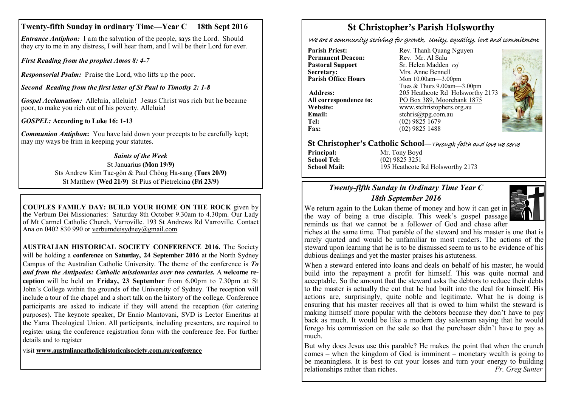### **Twenty-fifth Sunday in ordinary Time—Year C 18th Sept 2016**

*Entrance Antiphon:* I am the salvation of the people, says the Lord. Should they cry to me in any distress, I will hear them, and I will be their Lord for ever*.*

*First Reading from the prophet Amos 8: 4-7*

*Responsorial Psalm:* Praise the Lord, who lifts up the poor.

*Second Reading from the first letter of St Paul to Timothy 2: 1-8*

*Gospel Acclamation:* Alleluia, alleluia! Jesus Christ was rich but he became poor, to make you rich out of his poverty. Alleluia!

*GOSPEL:* **According to Luke 16: 1-13**

*Communion Antiphon***:** You have laid down your precepts to be carefully kept; may my ways be frim in keeping your statutes.

#### *Saints of the Week* St Januarius **(Mon 19/9)**

Sts Andrew Kim Tae-gŏn & Paul Chŏng Ha-sang **(Tues 20/9)** St Matthew **(Wed 21/9)** St Pius of Pietrelcina **(Fri 23/9)** 

**COUPLES FAMILY DAY: BUILD YOUR HOME ON THE ROCK** given by the Verbum Dei Missionaries: Saturday 8th October 9.30am to 4.30pm. Our Lady of Mt Carmel Catholic Church, Varroville. 193 St Andrews Rd Varroville. Contact Ana on 0402 830 990 or [verbumdeis](mailto:verbumdeisdyney@gmail.com)[ydney@gmail.com](mailto:ydney@gmail.com)

**AUSTRALIAN HISTORICAL SOCIETY CONFERENCE 2016.** The Society will be holding a **conference** on **Saturday, 24 September 2016** at the North Sydney Campus of the Australian Catholic University. The theme of the conference is *To and from the Antipodes: Catholic missionaries over two centuries.* A **welcome reception** will be held on **Friday, 23 September** from 6.00pm to 7.30pm at St John's College within the grounds of the University of Sydney. The reception will include a tour of the chapel and a short talk on the history of the college. Conference participants are asked to indicate if they will attend the reception (for catering purposes). The keynote speaker, Dr Ennio Mantovani, SVD is Lector Emeritus at the Yarra Theological Union. All participants, including presenters, are required to register using the conference registration form with the conference fee. For further details and to register

visit **[www.australiancatholichistoricalsociety.com.au/conference](http://www.australiancatholichistoricalsociety.com.au/conference)**

# St Christopher's Parish Holsworthy

We are a community striving for growth, Unity, equality, love and commitment

**Permanent Deacon:**<br>**Pastoral Support Secretary:**  $\overrightarrow{AB}$  Mrs. Anne Bennell<br> **Parish Office Hours** Mon 10.00am - 3.00

**Email:** stchris@tpg.com.au<br> **Tel:** (02) 9825 1679 **Tel:** (02) 9825 1679<br>**Fax:** (02) 9825 1488

**Parish Priest:** Rev. Thanh Quang Nguyen<br> **Permanent Deacon:** Rev. Mr. Al Salu **Pastoral Support** Sr. Helen Madden *rsj*<br>
Secretary: Mrs. Anne Bennell **Mon 10.00am—3.00pm** Tues & Thurs 9.00am—3.00pm **Address:** 205 Heathcote Rd Holsworthy 2173 **All correspondence to:** PO Box 389, Moorebank 1875 **Website:** www.stchristophers.org.au<br> **Email:** stchris@tng.com au **Fax:** (02) 9825 1488



### St Christopher's Catholic School—Through faith and love we serve

**Principal:** Mr. Tony Boyd<br> **School Tel:** (02) 9825 3251

**School Tel:** (02) 9825 3251 **School Mail:** 195 Heathcote Rd Holsworthy 2173

## *Twenty-fifth Sunday in Ordinary Time Year C 18th September 2016*



riches at the same time. That parable of the steward and his master is one that is rarely quoted and would be unfamiliar to most readers. The actions of the steward upon learning that he is to be dismissed seem to us to be evidence of his dubious dealings and yet the master praises his astuteness.

When a steward entered into loans and deals on behalf of his master, he would build into the repayment a profit for himself. This was quite normal and acceptable. So the amount that the steward asks the debtors to reduce their debts to the master is actually the cut that he had built into the deal for himself. His actions are, surprisingly, quite noble and legitimate. What he is doing is ensuring that his master receives all that is owed to him whilst the steward is making himself more popular with the debtors because they don't have to pay back as much. It would be like a modern day salesman saying that he would forego his commission on the sale so that the purchaser didn't have to pay as much.

But why does Jesus use this parable? He makes the point that when the crunch comes – when the kingdom of God is imminent – monetary wealth is going to be meaningless. It is best to cut your losses and turn your energy to building relationships rather than riches. *Fr. Greg Sunter*